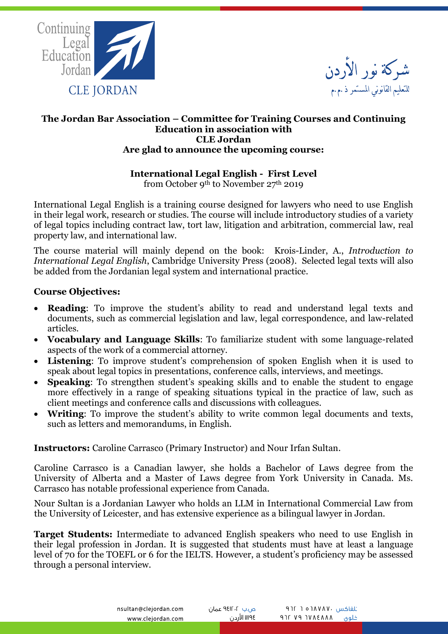



### **The Jordan Bar Association – Committee for Training Courses and Continuing Education in association with CLE Jordan Are glad to announce the upcoming course:**

# **International Legal English - First Level**

from October 9th to November 27th 2019

International Legal English is a training course designed for lawyers who need to use English in their legal work, research or studies. The course will include introductory studies of a variety of legal topics including contract law, tort law, litigation and arbitration, commercial law, real property law, and international law.

The course material will mainly depend on the book: Krois-Linder, A., *Introduction to International Legal English*, Cambridge University Press (2008). Selected legal texts will also be added from the Jordanian legal system and international practice.

# **Course Objectives:**

- **Reading**: To improve the student's ability to read and understand legal texts and documents, such as commercial legislation and law, legal correspondence, and law-related articles.
- **Vocabulary and Language Skills**: To familiarize student with some language-related aspects of the work of a commercial attorney.
- **Listening**: To improve student's comprehension of spoken English when it is used to speak about legal topics in presentations, conference calls, interviews, and meetings.
- **Speaking:** To strengthen student's speaking skills and to enable the student to engage more effectively in a range of speaking situations typical in the practice of law, such as client meetings and conference calls and discussions with colleagues.
- **Writing**: To improve the student's ability to write common legal documents and texts, such as letters and memorandums, in English.

**Instructors:** Caroline Carrasco (Primary Instructor) and Nour Irfan Sultan.

Caroline Carrasco is a Canadian lawyer, she holds a Bachelor of Laws degree from the University of Alberta and a Master of Laws degree from York University in Canada. Ms. Carrasco has notable professional experience from Canada.

Nour Sultan is a Jordanian Lawyer who holds an LLM in International Commercial Law from the University of Leicester, and has extensive experience as a bilingual lawyer in Jordan.

**Target Students:** Intermediate to advanced English speakers who need to use English in their legal profession in Jordan. It is suggested that students must have at least a language level of 70 for the TOEFL or 6 for the IELTS. However, a student's proficiency may be assessed through a personal interview.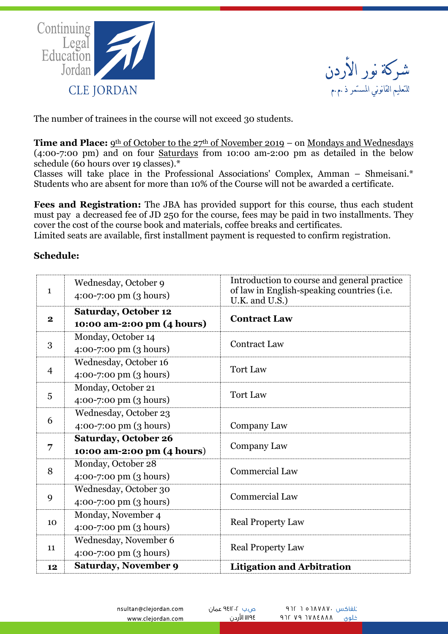



The number of trainees in the course will not exceed 30 students.

Time and Place: 9<sup>th</sup> of October to the 27<sup>th</sup> of November 2019 – on Mondays and Wednesdays (4:00-7:00 pm) and on four Saturdays from 10:00 am-2:00 pm as detailed in the below schedule (60 hours over 19 classes).\*

Classes will take place in the Professional Associations' Complex, Amman – Shmeisani.\* Students who are absent for more than 10% of the Course will not be awarded a certificate.

**Fees and Registration:** The JBA has provided support for this course, thus each student must pay a decreased fee of JD 250 for the course, fees may be paid in two installments. They cover the cost of the course book and materials, coffee breaks and certificates.

Limited seats are available, first installment payment is requested to confirm registration.

# **Schedule:**

| $\mathbf{1}$   | Wednesday, October 9<br>$4:00-7:00 \text{ pm } (3 \text{ hours})$  | Introduction to course and general practice<br>of law in English-speaking countries (i.e.<br>U.K. and U.S.) |
|----------------|--------------------------------------------------------------------|-------------------------------------------------------------------------------------------------------------|
| $\mathbf{2}$   | <b>Saturday, October 12</b><br>10:00 am-2:00 pm (4 hours)          | <b>Contract Law</b>                                                                                         |
| 3              | Monday, October 14<br>$4:00-7:00 \text{ pm } (3 \text{ hours})$    | <b>Contract Law</b>                                                                                         |
| $\overline{4}$ | Wednesday, October 16<br>$4:00-7:00 \text{ pm } (3 \text{ hours})$ | <b>Tort Law</b>                                                                                             |
| 5              | Monday, October 21<br>4:00-7:00 pm (3 hours)                       | <b>Tort Law</b>                                                                                             |
| 6              | Wednesday, October 23<br>4:00-7:00 pm (3 hours)                    | Company Law                                                                                                 |
| 7              | <b>Saturday, October 26</b><br>10:00 am-2:00 pm (4 hours)          | Company Law                                                                                                 |
| 8              | Monday, October 28<br>$4:00-7:00 \text{ pm } (3 \text{ hours})$    | <b>Commercial Law</b>                                                                                       |
| 9              | Wednesday, October 30<br>$4:00-7:00 \text{ pm } (3 \text{ hours})$ | <b>Commercial Law</b>                                                                                       |
| 10             | Monday, November 4<br>$4:00-7:00 \text{ pm } (3 \text{ hours})$    | <b>Real Property Law</b>                                                                                    |
| 11             | Wednesday, November 6<br>$4:00-7:00 \text{ pm } (3 \text{ hours})$ | <b>Real Property Law</b>                                                                                    |
| 12             | Saturday, November 9                                               | <b>Litigation and Arbitration</b>                                                                           |